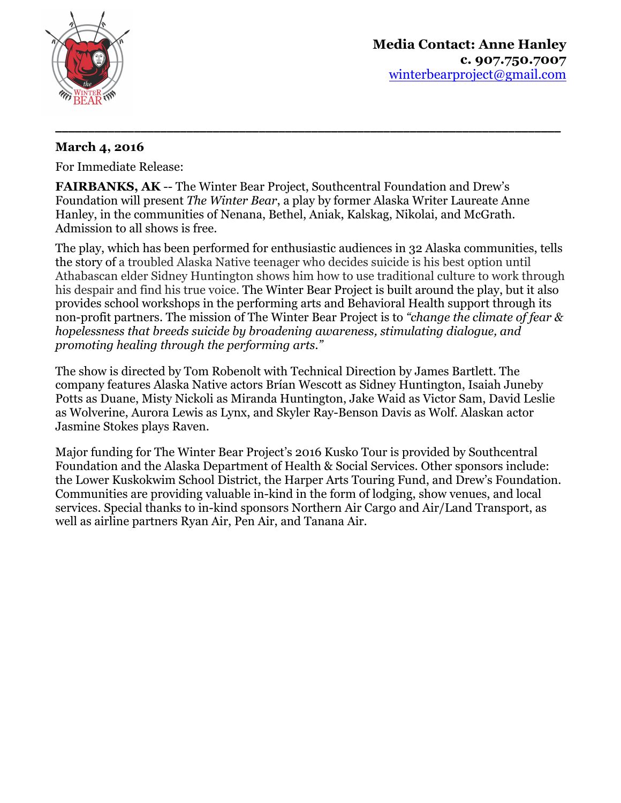

## **March 4, 2016**

For Immediate Release:

**FAIRBANKS, AK** -- The Winter Bear Project, Southcentral Foundation and Drew's Foundation will present *The Winter Bear*, a play by former Alaska Writer Laureate Anne Hanley, in the communities of Nenana, Bethel, Aniak, Kalskag, Nikolai, and McGrath. Admission to all shows is free.

**\_\_\_\_\_\_\_\_\_\_\_\_\_\_\_\_\_\_\_\_\_\_\_\_\_\_\_\_\_\_\_\_\_\_\_\_\_\_\_\_\_\_\_\_\_\_\_\_\_\_\_\_\_\_\_\_\_\_\_\_\_\_\_\_\_\_\_\_\_\_\_\_\_\_\_\_\_**

The play, which has been performed for enthusiastic audiences in 32 Alaska communities, tells the story of a troubled Alaska Native teenager who decides suicide is his best option until Athabascan elder Sidney Huntington shows him how to use traditional culture to work through his despair and find his true voice. The Winter Bear Project is built around the play, but it also provides school workshops in the performing arts and Behavioral Health support through its non-profit partners. The mission of The Winter Bear Project is to *"change the climate of fear & hopelessness that breeds suicide by broadening awareness, stimulating dialogue, and promoting healing through the performing arts."*

The show is directed by Tom Robenolt with Technical Direction by James Bartlett. The company features Alaska Native actors Brían Wescott as Sidney Huntington, Isaiah Juneby Potts as Duane, Misty Nickoli as Miranda Huntington, Jake Waid as Victor Sam, David Leslie as Wolverine, Aurora Lewis as Lynx, and Skyler Ray-Benson Davis as Wolf. Alaskan actor Jasmine Stokes plays Raven.

Major funding for The Winter Bear Project's 2016 Kusko Tour is provided by Southcentral Foundation and the Alaska Department of Health & Social Services. Other sponsors include: the Lower Kuskokwim School District, the Harper Arts Touring Fund, and Drew's Foundation. Communities are providing valuable in-kind in the form of lodging, show venues, and local services. Special thanks to in-kind sponsors Northern Air Cargo and Air/Land Transport, as well as airline partners Ryan Air, Pen Air, and Tanana Air.